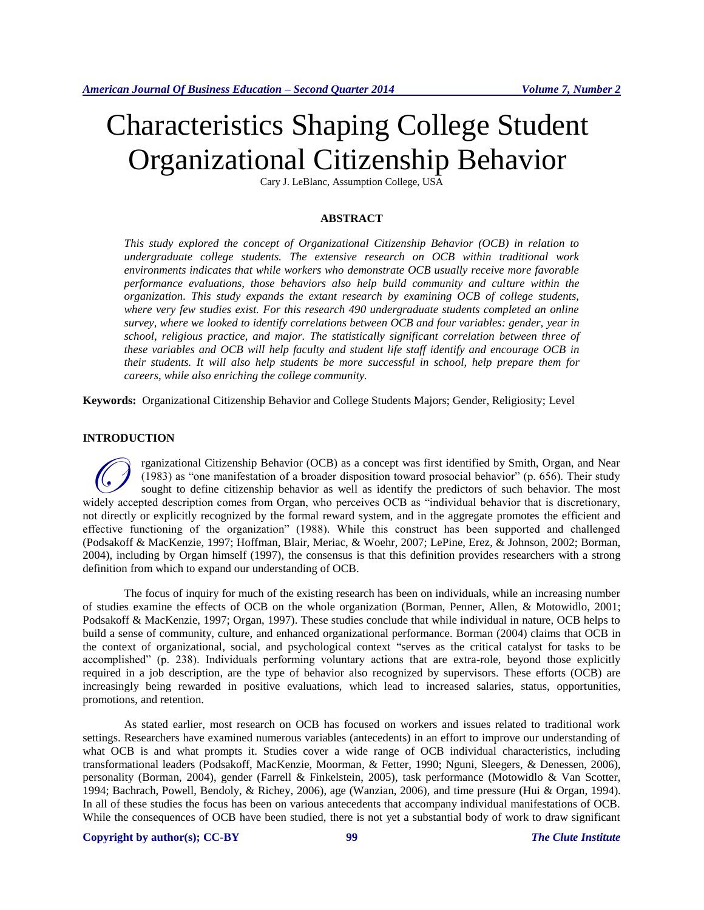# Characteristics Shaping College Student Organizational Citizenship Behavior

Cary J. LeBlanc, Assumption College, USA

# **ABSTRACT**

*This study explored the concept of Organizational Citizenship Behavior (OCB) in relation to undergraduate college students. The extensive research on OCB within traditional work environments indicates that while workers who demonstrate OCB usually receive more favorable performance evaluations, those behaviors also help build community and culture within the organization. This study expands the extant research by examining OCB of college students, where very few studies exist. For this research 490 undergraduate students completed an online survey, where we looked to identify correlations between OCB and four variables: gender, year in school, religious practice, and major. The statistically significant correlation between three of these variables and OCB will help faculty and student life staff identify and encourage OCB in their students. It will also help students be more successful in school, help prepare them for careers, while also enriching the college community.*

**Keywords:** Organizational Citizenship Behavior and College Students Majors; Gender, Religiosity; Level

# **INTRODUCTION**

rganizational Citizenship Behavior (OCB) as a concept was first identified by Smith, Organ, and Near (1983) as "one manifestation of a broader disposition toward prosocial behavior" (p. 656). Their study sought to define citizenship behavior as well as identify the predictors of such behavior. The most rganizational Citizenship Behavior (OCB) as a concept was first identified by Smith, Organ, and Near (1983) as "one manifestation of a broader disposition toward prosocial behavior" (p. 656). Their study sought to define c not directly or explicitly recognized by the formal reward system, and in the aggregate promotes the efficient and effective functioning of the organization" (1988). While this construct has been supported and challenged (Podsakoff & MacKenzie, 1997; Hoffman, Blair, Meriac, & Woehr, 2007; LePine, Erez, & Johnson, 2002; Borman, 2004), including by Organ himself (1997), the consensus is that this definition provides researchers with a strong definition from which to expand our understanding of OCB.

The focus of inquiry for much of the existing research has been on individuals, while an increasing number of studies examine the effects of OCB on the whole organization (Borman, Penner, Allen, & Motowidlo, 2001; Podsakoff & MacKenzie, 1997; Organ, 1997). These studies conclude that while individual in nature, OCB helps to build a sense of community, culture, and enhanced organizational performance. Borman (2004) claims that OCB in the context of organizational, social, and psychological context "serves as the critical catalyst for tasks to be accomplished" (p. 238). Individuals performing voluntary actions that are extra-role, beyond those explicitly required in a job description, are the type of behavior also recognized by supervisors. These efforts (OCB) are increasingly being rewarded in positive evaluations, which lead to increased salaries, status, opportunities, promotions, and retention.

As stated earlier, most research on OCB has focused on workers and issues related to traditional work settings. Researchers have examined numerous variables (antecedents) in an effort to improve our understanding of what OCB is and what prompts it. Studies cover a wide range of OCB individual characteristics, including transformational leaders (Podsakoff, MacKenzie, Moorman, & Fetter, 1990; Nguni, Sleegers, & Denessen, 2006), personality (Borman, 2004), gender (Farrell & Finkelstein, 2005), task performance (Motowidlo & Van Scotter, 1994; Bachrach, Powell, Bendoly, & Richey, 2006), age (Wanzian, 2006), and time pressure (Hui & Organ, 1994). In all of these studies the focus has been on various antecedents that accompany individual manifestations of OCB. While the consequences of OCB have been studied, there is not yet a substantial body of work to draw significant

# **Copyright by author(s)[; CC-BY](http://creativecommons.org/licenses/by/3.0/) 99** *[The Clute Institute](http://www.cluteinstitute.com/)*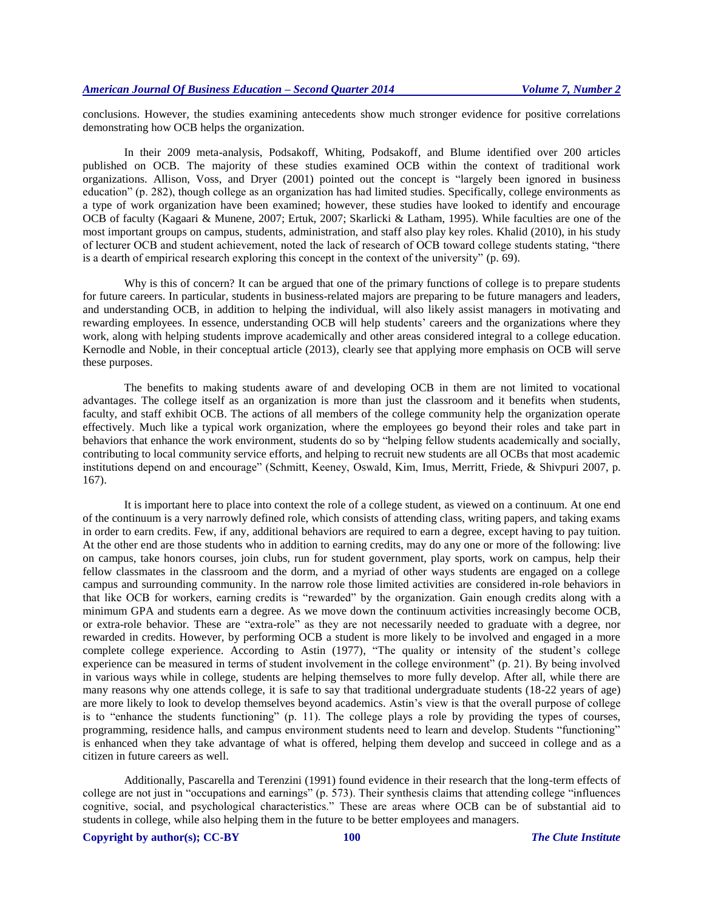conclusions. However, the studies examining antecedents show much stronger evidence for positive correlations demonstrating how OCB helps the organization.

In their 2009 meta-analysis, Podsakoff, Whiting, Podsakoff, and Blume identified over 200 articles published on OCB. The majority of these studies examined OCB within the context of traditional work organizations. Allison, Voss, and Dryer (2001) pointed out the concept is "largely been ignored in business education" (p. 282), though college as an organization has had limited studies. Specifically, college environments as a type of work organization have been examined; however, these studies have looked to identify and encourage OCB of faculty (Kagaari & Munene, 2007; Ertuk, 2007; Skarlicki & Latham, 1995). While faculties are one of the most important groups on campus, students, administration, and staff also play key roles. Khalid (2010), in his study of lecturer OCB and student achievement, noted the lack of research of OCB toward college students stating, "there is a dearth of empirical research exploring this concept in the context of the university" (p. 69).

Why is this of concern? It can be argued that one of the primary functions of college is to prepare students for future careers. In particular, students in business-related majors are preparing to be future managers and leaders, and understanding OCB, in addition to helping the individual, will also likely assist managers in motivating and rewarding employees. In essence, understanding OCB will help students' careers and the organizations where they work, along with helping students improve academically and other areas considered integral to a college education. Kernodle and Noble, in their conceptual article (2013), clearly see that applying more emphasis on OCB will serve these purposes.

The benefits to making students aware of and developing OCB in them are not limited to vocational advantages. The college itself as an organization is more than just the classroom and it benefits when students, faculty, and staff exhibit OCB. The actions of all members of the college community help the organization operate effectively. Much like a typical work organization, where the employees go beyond their roles and take part in behaviors that enhance the work environment, students do so by "helping fellow students academically and socially, contributing to local community service efforts, and helping to recruit new students are all OCBs that most academic institutions depend on and encourage" (Schmitt, Keeney, Oswald, Kim, Imus, Merritt, Friede, & Shivpuri 2007, p. 167).

It is important here to place into context the role of a college student, as viewed on a continuum. At one end of the continuum is a very narrowly defined role, which consists of attending class, writing papers, and taking exams in order to earn credits. Few, if any, additional behaviors are required to earn a degree, except having to pay tuition. At the other end are those students who in addition to earning credits, may do any one or more of the following: live on campus, take honors courses, join clubs, run for student government, play sports, work on campus, help their fellow classmates in the classroom and the dorm, and a myriad of other ways students are engaged on a college campus and surrounding community. In the narrow role those limited activities are considered in-role behaviors in that like OCB for workers, earning credits is "rewarded" by the organization. Gain enough credits along with a minimum GPA and students earn a degree. As we move down the continuum activities increasingly become OCB, or extra-role behavior. These are "extra-role" as they are not necessarily needed to graduate with a degree, nor rewarded in credits. However, by performing OCB a student is more likely to be involved and engaged in a more complete college experience. According to Astin (1977), "The quality or intensity of the student's college experience can be measured in terms of student involvement in the college environment" (p. 21). By being involved in various ways while in college, students are helping themselves to more fully develop. After all, while there are many reasons why one attends college, it is safe to say that traditional undergraduate students (18-22 years of age) are more likely to look to develop themselves beyond academics. Astin's view is that the overall purpose of college is to "enhance the students functioning" (p. 11). The college plays a role by providing the types of courses, programming, residence halls, and campus environment students need to learn and develop. Students "functioning" is enhanced when they take advantage of what is offered, helping them develop and succeed in college and as a citizen in future careers as well.

Additionally, Pascarella and Terenzini (1991) found evidence in their research that the long-term effects of college are not just in "occupations and earnings" (p. 573). Their synthesis claims that attending college "influences cognitive, social, and psychological characteristics." These are areas where OCB can be of substantial aid to students in college, while also helping them in the future to be better employees and managers.

**Copyright by author(s)[; CC-BY](http://creativecommons.org/licenses/by/3.0/) 100** *[The Clute Institute](http://www.cluteinstitute.com/)*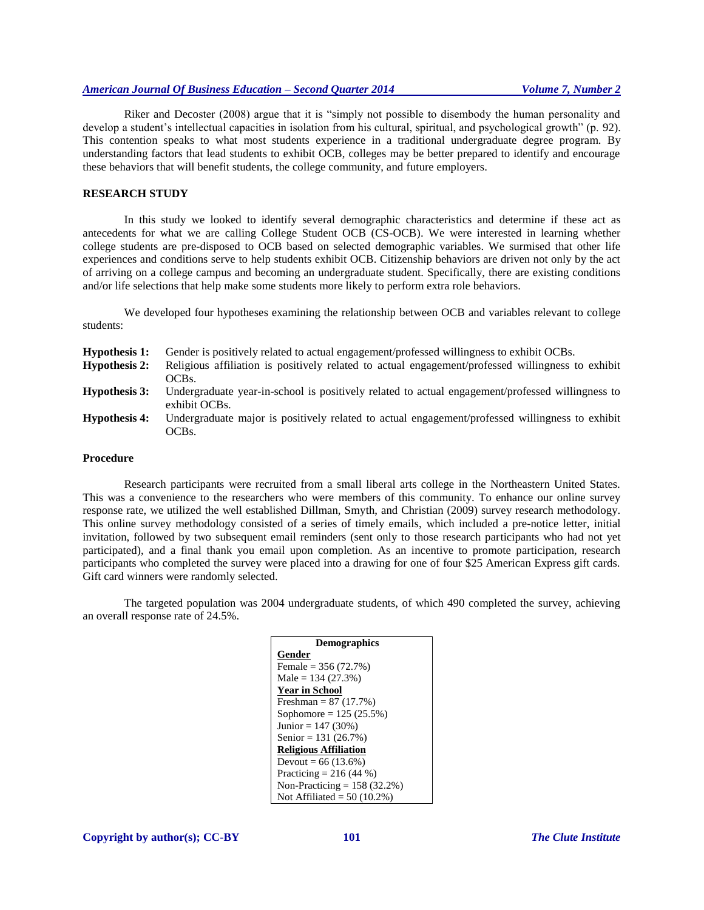Riker and Decoster (2008) argue that it is "simply not possible to disembody the human personality and develop a student's intellectual capacities in isolation from his cultural, spiritual, and psychological growth" (p. 92). This contention speaks to what most students experience in a traditional undergraduate degree program. By understanding factors that lead students to exhibit OCB, colleges may be better prepared to identify and encourage these behaviors that will benefit students, the college community, and future employers.

#### **RESEARCH STUDY**

In this study we looked to identify several demographic characteristics and determine if these act as antecedents for what we are calling College Student OCB (CS-OCB). We were interested in learning whether college students are pre-disposed to OCB based on selected demographic variables. We surmised that other life experiences and conditions serve to help students exhibit OCB. Citizenship behaviors are driven not only by the act of arriving on a college campus and becoming an undergraduate student. Specifically, there are existing conditions and/or life selections that help make some students more likely to perform extra role behaviors.

We developed four hypotheses examining the relationship between OCB and variables relevant to college students:

| <b>Hypothesis 1:</b> | Gender is positively related to actual engagement/professed willingness to exhibit OCBs.                          |
|----------------------|-------------------------------------------------------------------------------------------------------------------|
| <b>Hypothesis 2:</b> | Religious affiliation is positively related to actual engagement/professed willingness to exhibit                 |
|                      | OCBs.                                                                                                             |
| <b>Hypothesis 3:</b> | Undergraduate year-in-school is positively related to actual engagement/professed willingness to<br>exhibit OCBs. |
| <b>Hypothesis 4:</b> | Undergraduate major is positively related to actual engagement/professed willingness to exhibit<br>OCBs.          |

#### **Procedure**

Research participants were recruited from a small liberal arts college in the Northeastern United States. This was a convenience to the researchers who were members of this community. To enhance our online survey response rate, we utilized the well established Dillman, Smyth, and Christian (2009) survey research methodology. This online survey methodology consisted of a series of timely emails, which included a pre-notice letter, initial invitation, followed by two subsequent email reminders (sent only to those research participants who had not yet participated), and a final thank you email upon completion. As an incentive to promote participation, research participants who completed the survey were placed into a drawing for one of four \$25 American Express gift cards. Gift card winners were randomly selected.

The targeted population was 2004 undergraduate students, of which 490 completed the survey, achieving an overall response rate of 24.5%.

| <b>Demographics</b>            |
|--------------------------------|
| Gender                         |
| Female = $356(72.7%)$          |
| Male = $134(27.3%)$            |
| <b>Year in School</b>          |
| Freshman = $87(17.7%)$         |
| Sophomore = $125 (25.5%)$      |
| Junior = $147(30%)$            |
| Senior = $131(26.7%)$          |
| <b>Religious Affiliation</b>   |
| Devout = $66(13.6%)$           |
| Practicing = $216(44\%)$       |
| Non-Practicing = $158$ (32.2%) |
| Not Affiliated = $50(10.2\%)$  |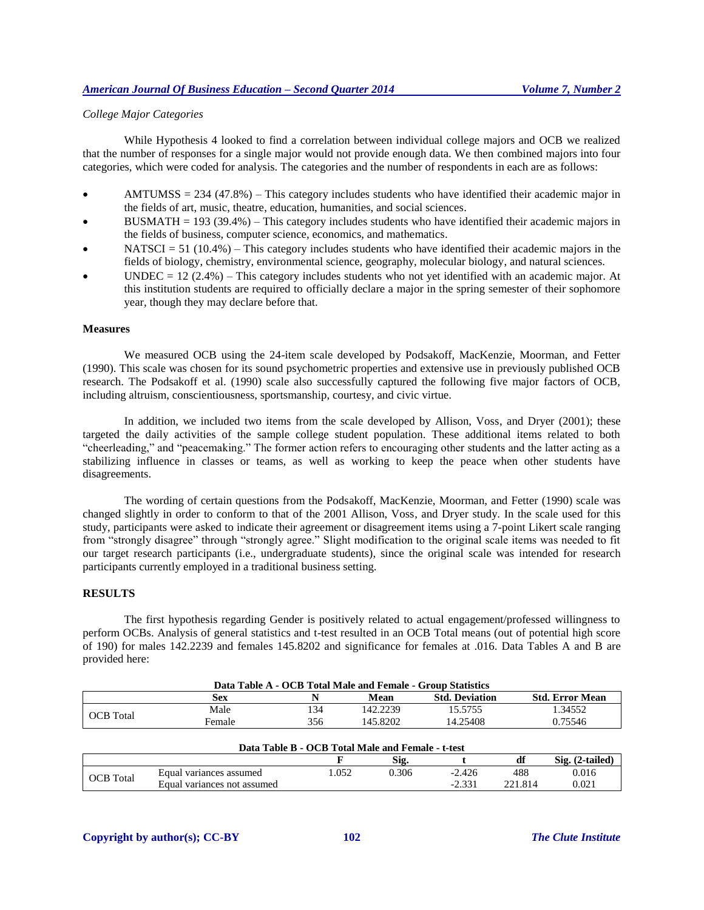# *College Major Categories*

While Hypothesis 4 looked to find a correlation between individual college majors and OCB we realized that the number of responses for a single major would not provide enough data. We then combined majors into four categories, which were coded for analysis. The categories and the number of respondents in each are as follows:

- $AMTUMSS = 234 (47.8%)$  This category includes students who have identified their academic major in the fields of art, music, theatre, education, humanities, and social sciences.
- $BUSMATH = 193 (39.4%)$  This category includes students who have identified their academic majors in the fields of business, computer science, economics, and mathematics.
- NATSCI = 51 (10.4%) This category includes students who have identified their academic majors in the fields of biology, chemistry, environmental science, geography, molecular biology, and natural sciences.
- UNDEC = 12 (2.4%) This category includes students who not yet identified with an academic major. At this institution students are required to officially declare a major in the spring semester of their sophomore year, though they may declare before that.

# **Measures**

We measured OCB using the 24-item scale developed by Podsakoff, MacKenzie, Moorman, and Fetter (1990). This scale was chosen for its sound psychometric properties and extensive use in previously published OCB research. The Podsakoff et al. (1990) scale also successfully captured the following five major factors of OCB, including altruism, conscientiousness, sportsmanship, courtesy, and civic virtue.

In addition, we included two items from the scale developed by Allison, Voss, and Dryer (2001); these targeted the daily activities of the sample college student population. These additional items related to both "cheerleading," and "peacemaking." The former action refers to encouraging other students and the latter acting as a stabilizing influence in classes or teams, as well as working to keep the peace when other students have disagreements.

The wording of certain questions from the Podsakoff, MacKenzie, Moorman, and Fetter (1990) scale was changed slightly in order to conform to that of the 2001 Allison, Voss, and Dryer study. In the scale used for this study, participants were asked to indicate their agreement or disagreement items using a 7-point Likert scale ranging from "strongly disagree" through "strongly agree." Slight modification to the original scale items was needed to fit our target research participants (i.e., undergraduate students), since the original scale was intended for research participants currently employed in a traditional business setting.

# **RESULTS**

The first hypothesis regarding Gender is positively related to actual engagement/professed willingness to perform OCBs. Analysis of general statistics and t-test resulted in an OCB Total means (out of potential high score of 190) for males 142.2239 and females 145.8202 and significance for females at .016. Data Tables A and B are provided here:

| Data Table A - OCB Total Male and Female - Group Statistics |        |     |          |                       |                        |  |
|-------------------------------------------------------------|--------|-----|----------|-----------------------|------------------------|--|
|                                                             | Sex    |     | Mean     | <b>Std. Deviation</b> | <b>Std. Error Mean</b> |  |
| <b>OCB</b> Total                                            | Male   | 134 | 142.2239 | 15.5755               | .34552                 |  |
|                                                             | Female | 356 | 145.8202 | 14.25408              | 0.75546                |  |

| Data Table B - OCB Total Male and Female - t-test |                             |      |       |          |         |       |  |
|---------------------------------------------------|-----------------------------|------|-------|----------|---------|-------|--|
| Sig.<br>$Sig. (2-tailed)$<br>df                   |                             |      |       |          |         |       |  |
| <b>OCB</b> Total                                  | Equal variances assumed     | .052 | 0.306 | $-2.426$ | 488     | 0.016 |  |
|                                                   | Equal variances not assumed |      |       | $-2.331$ | 221.814 | 9.021 |  |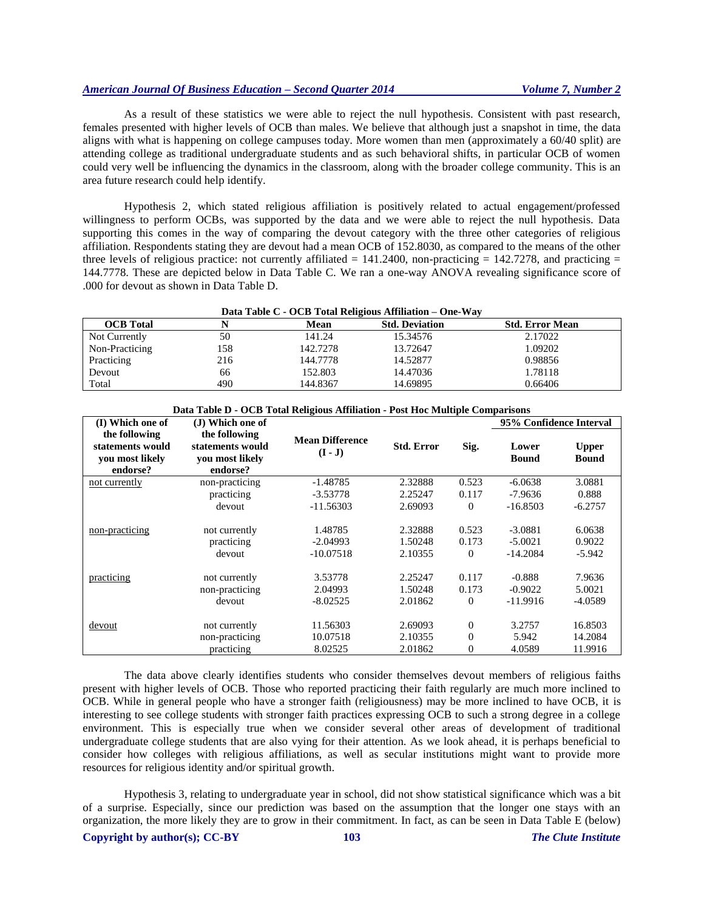As a result of these statistics we were able to reject the null hypothesis. Consistent with past research, females presented with higher levels of OCB than males. We believe that although just a snapshot in time, the data aligns with what is happening on college campuses today. More women than men (approximately a 60/40 split) are attending college as traditional undergraduate students and as such behavioral shifts, in particular OCB of women could very well be influencing the dynamics in the classroom, along with the broader college community. This is an area future research could help identify.

Hypothesis 2, which stated religious affiliation is positively related to actual engagement/professed willingness to perform OCBs, was supported by the data and we were able to reject the null hypothesis. Data supporting this comes in the way of comparing the devout category with the three other categories of religious affiliation. Respondents stating they are devout had a mean OCB of 152.8030, as compared to the means of the other three levels of religious practice: not currently affiliated =  $141.2400$ , non-practicing =  $142.7278$ , and practicing = 144.7778. These are depicted below in Data Table C. We ran a one-way ANOVA revealing significance score of .000 for devout as shown in Data Table D.

| Data Table C - OCB Total Religious Affiliation – One-Way |     |          |                       |                        |  |  |  |
|----------------------------------------------------------|-----|----------|-----------------------|------------------------|--|--|--|
| <b>OCB</b> Total                                         |     | Mean     | <b>Std. Deviation</b> | <b>Std. Error Mean</b> |  |  |  |
| Not Currently                                            | 50  | 141.24   | 15.34576              | 2.17022                |  |  |  |
| Non-Practicing                                           | 158 | 142.7278 | 13.72647              | 1.09202                |  |  |  |
| Practicing                                               | 216 | 144.7778 | 14.52877              | 0.98856                |  |  |  |
| Devout                                                   | 66  | 152.803  | 14.47036              | 1.78118                |  |  |  |
| Total                                                    | 490 | 144.8367 | 14.69895              | 0.66406                |  |  |  |

| Data Table D - OCB Total Religious Affiliation - Post Hoc Multiple Comparisons |                                                                  |                                     |                               |                                      |                                     |                               |  |
|--------------------------------------------------------------------------------|------------------------------------------------------------------|-------------------------------------|-------------------------------|--------------------------------------|-------------------------------------|-------------------------------|--|
| (I) Which one of                                                               | (J) Which one of                                                 |                                     |                               |                                      | 95% Confidence Interval             |                               |  |
| the following<br>statements would<br>vou most likely<br>endorse?               | the following<br>statements would<br>vou most likely<br>endorse? | <b>Mean Difference</b><br>$(I - J)$ | <b>Std. Error</b>             | Sig.                                 | Lower<br><b>Bound</b>               | <b>Upper</b><br><b>Bound</b>  |  |
| not currently                                                                  | non-practicing                                                   | $-1.48785$                          | 2.32888                       | 0.523                                | $-6.0638$                           | 3.0881                        |  |
|                                                                                | practicing                                                       | $-3.53778$                          | 2.25247                       | 0.117                                | $-7.9636$                           | 0.888                         |  |
|                                                                                | devout                                                           | $-11.56303$                         | 2.69093                       | $\theta$                             | $-16.8503$                          | $-6.2757$                     |  |
| non-practicing                                                                 | not currently<br>practicing                                      | 1.48785<br>$-2.04993$               | 2.32888<br>1.50248            | 0.523<br>0.173                       | $-3.0881$<br>$-5.0021$              | 6.0638<br>0.9022              |  |
|                                                                                | devout                                                           | $-10.07518$                         | 2.10355                       | $\theta$                             | $-14.2084$                          | $-5.942$                      |  |
| practicing                                                                     | not currently<br>non-practicing<br>devout                        | 3.53778<br>2.04993<br>$-8.02525$    | 2.25247<br>1.50248<br>2.01862 | 0.117<br>0.173<br>$\theta$           | $-0.888$<br>$-0.9022$<br>$-11.9916$ | 7.9636<br>5.0021<br>$-4.0589$ |  |
| devout                                                                         | not currently<br>non-practicing<br>practicing                    | 11.56303<br>10.07518<br>8.02525     | 2.69093<br>2.10355<br>2.01862 | $\theta$<br>$\Omega$<br>$\mathbf{0}$ | 3.2757<br>5.942<br>4.0589           | 16.8503<br>14.2084<br>11.9916 |  |

The data above clearly identifies students who consider themselves devout members of religious faiths present with higher levels of OCB. Those who reported practicing their faith regularly are much more inclined to OCB. While in general people who have a stronger faith (religiousness) may be more inclined to have OCB, it is interesting to see college students with stronger faith practices expressing OCB to such a strong degree in a college environment. This is especially true when we consider several other areas of development of traditional undergraduate college students that are also vying for their attention. As we look ahead, it is perhaps beneficial to consider how colleges with religious affiliations, as well as secular institutions might want to provide more resources for religious identity and/or spiritual growth.

**Copyright by author(s)[; CC-BY](http://creativecommons.org/licenses/by/3.0/) 103** *[The Clute Institute](http://www.cluteinstitute.com/)* Hypothesis 3, relating to undergraduate year in school, did not show statistical significance which was a bit of a surprise. Especially, since our prediction was based on the assumption that the longer one stays with an organization, the more likely they are to grow in their commitment. In fact, as can be seen in Data Table E (below)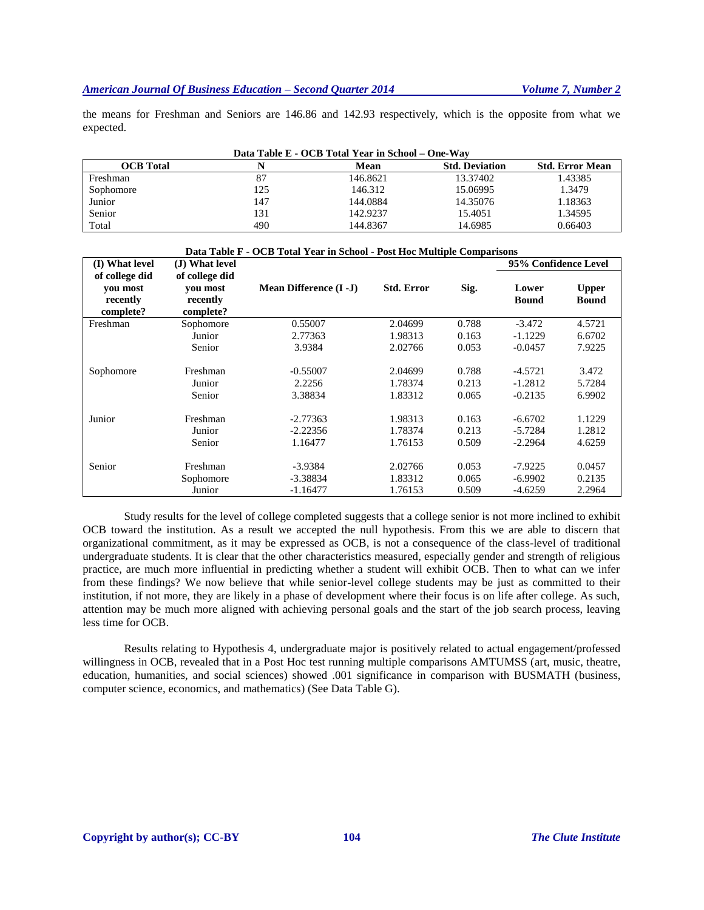the means for Freshman and Seniors are 146.86 and 142.93 respectively, which is the opposite from what we expected.

| Data Table E - OCB Total Year in School – One-Way |     |          |                       |                        |  |  |  |
|---------------------------------------------------|-----|----------|-----------------------|------------------------|--|--|--|
| <b>OCB</b> Total                                  |     | Mean     | <b>Std. Deviation</b> | <b>Std. Error Mean</b> |  |  |  |
| Freshman                                          | 87  | 146.8621 | 13.37402              | 1.43385                |  |  |  |
| Sophomore                                         | 125 | 146.312  | 15.06995              | 1.3479                 |  |  |  |
| Junior                                            | 147 | 144.0884 | 14.35076              | 1.18363                |  |  |  |
| Senior                                            | 131 | 142.9237 | 15.4051               | 1.34595                |  |  |  |
| Total                                             | 490 | 144.8367 | 14.6985               | 0.66403                |  |  |  |

| Data Table F - OCB Total Year in School - Post Hoc Multiple Comparisons |                |                               |                   |       |                      |              |
|-------------------------------------------------------------------------|----------------|-------------------------------|-------------------|-------|----------------------|--------------|
| (I) What level                                                          | (J) What level |                               |                   |       | 95% Confidence Level |              |
| of college did                                                          | of college did |                               |                   |       |                      |              |
| vou most                                                                | vou most       | <b>Mean Difference (I -J)</b> | <b>Std. Error</b> | Sig.  | Lower                | <b>Upper</b> |
| recently                                                                | recently       |                               |                   |       | <b>Bound</b>         | <b>Bound</b> |
| complete?                                                               | complete?      |                               |                   |       |                      |              |
| Freshman                                                                | Sophomore      | 0.55007                       | 2.04699           | 0.788 | $-3.472$             | 4.5721       |
|                                                                         | Junior         | 2.77363                       | 1.98313           | 0.163 | $-1.1229$            | 6.6702       |
|                                                                         | Senior         | 3.9384                        | 2.02766           | 0.053 | $-0.0457$            | 7.9225       |
|                                                                         |                |                               |                   |       |                      |              |
| Sophomore                                                               | Freshman       | $-0.55007$                    | 2.04699           | 0.788 | $-4.5721$            | 3.472        |
|                                                                         | Junior         | 2.2256                        | 1.78374           | 0.213 | $-1.2812$            | 5.7284       |
|                                                                         | Senior         | 3.38834                       | 1.83312           | 0.065 | $-0.2135$            | 6.9902       |
|                                                                         |                |                               |                   |       |                      |              |
| Junior                                                                  | Freshman       | $-2.77363$                    | 1.98313           | 0.163 | $-6.6702$            | 1.1229       |
|                                                                         | Junior         | $-2.22356$                    | 1.78374           | 0.213 | $-5.7284$            | 1.2812       |
|                                                                         | Senior         | 1.16477                       | 1.76153           | 0.509 | $-2.2964$            | 4.6259       |
|                                                                         |                |                               |                   |       |                      |              |
| Senior                                                                  | Freshman       | $-3.9384$                     | 2.02766           | 0.053 | $-7.9225$            | 0.0457       |
|                                                                         | Sophomore      | -3.38834                      | 1.83312           | 0.065 | $-6.9902$            | 0.2135       |
|                                                                         | Junior         | $-1.16477$                    | 1.76153           | 0.509 | $-4.6259$            | 2.2964       |

Study results for the level of college completed suggests that a college senior is not more inclined to exhibit OCB toward the institution. As a result we accepted the null hypothesis. From this we are able to discern that organizational commitment, as it may be expressed as OCB, is not a consequence of the class-level of traditional undergraduate students. It is clear that the other characteristics measured, especially gender and strength of religious practice, are much more influential in predicting whether a student will exhibit OCB. Then to what can we infer from these findings? We now believe that while senior-level college students may be just as committed to their institution, if not more, they are likely in a phase of development where their focus is on life after college. As such, attention may be much more aligned with achieving personal goals and the start of the job search process, leaving less time for OCB.

Results relating to Hypothesis 4, undergraduate major is positively related to actual engagement/professed willingness in OCB, revealed that in a Post Hoc test running multiple comparisons AMTUMSS (art, music, theatre, education, humanities, and social sciences) showed .001 significance in comparison with BUSMATH (business, computer science, economics, and mathematics) (See Data Table G).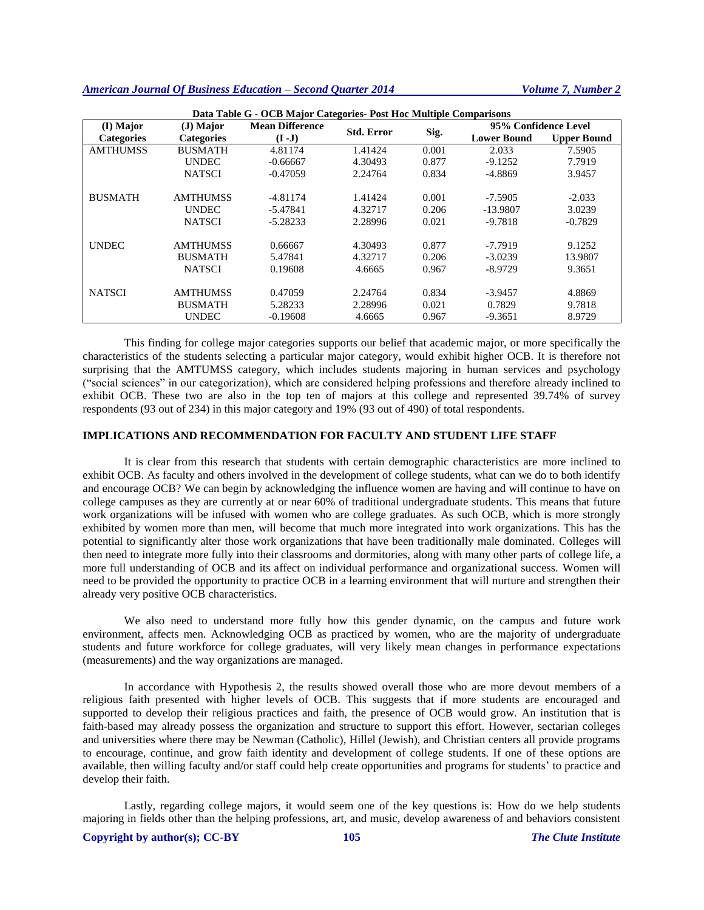| Data Table G - OCB Major Categories- Post Hoc Multiple Comparisons |                   |                        |                   |       |                      |                    |  |
|--------------------------------------------------------------------|-------------------|------------------------|-------------------|-------|----------------------|--------------------|--|
| (I) Major                                                          | $J)$ Major        | <b>Mean Difference</b> | <b>Std. Error</b> |       | 95% Confidence Level |                    |  |
| <b>Categories</b>                                                  | <b>Categories</b> | $(I-J)$                |                   | Sig.  | <b>Lower Bound</b>   | <b>Upper Bound</b> |  |
| <b>AMTHUMSS</b>                                                    | <b>BUSMATH</b>    | 4.81174                | 1.41424           | 0.001 | 2.033                | 7.5905             |  |
|                                                                    | <b>UNDEC</b>      | $-0.66667$             | 4.30493           | 0.877 | $-9.1252$            | 7.7919             |  |
|                                                                    | <b>NATSCI</b>     | $-0.47059$             | 2.24764           | 0.834 | $-4.8869$            | 3.9457             |  |
| <b>BUSMATH</b>                                                     | <b>AMTHUMSS</b>   | $-4.81174$             | 1.41424           | 0.001 | $-7.5905$            | $-2.033$           |  |
|                                                                    | <b>UNDEC</b>      | $-5.47841$             | 4.32717           | 0.206 | -13.9807             | 3.0239             |  |
|                                                                    | <b>NATSCI</b>     | $-5.28233$             | 2.28996           | 0.021 | $-9.7818$            | $-0.7829$          |  |
| <b>UNDEC</b>                                                       | <b>AMTHUMSS</b>   | 0.66667                | 4.30493           | 0.877 | $-7.7919$            | 9.1252             |  |
|                                                                    | <b>BUSMATH</b>    | 5.47841                | 4.32717           | 0.206 | $-3.0239$            | 13.9807            |  |
|                                                                    | <b>NATSCI</b>     | 0.19608                | 4.6665            | 0.967 | $-8.9729$            | 9.3651             |  |
| <b>NATSCI</b>                                                      | <b>AMTHUMSS</b>   | 0.47059                | 2.24764           | 0.834 | $-3.9457$            | 4.8869             |  |
|                                                                    | <b>BUSMATH</b>    | 5.28233                | 2.28996           | 0.021 | 0.7829               | 9.7818             |  |
|                                                                    | <b>UNDEC</b>      | $-0.19608$             | 4.6665            | 0.967 | $-9.3651$            | 8.9729             |  |

This finding for college major categories supports our belief that academic major, or more specifically the characteristics of the students selecting a particular major category, would exhibit higher OCB. It is therefore not surprising that the AMTUMSS category, which includes students majoring in human services and psychology ("social sciences" in our categorization), which are considered helping professions and therefore already inclined to exhibit OCB. These two are also in the top ten of majors at this college and represented 39.74% of survey respondents (93 out of 234) in this major category and 19% (93 out of 490) of total respondents.

# **IMPLICATIONS AND RECOMMENDATION FOR FACULTY AND STUDENT LIFE STAFF**

It is clear from this research that students with certain demographic characteristics are more inclined to exhibit OCB. As faculty and others involved in the development of college students, what can we do to both identify and encourage OCB? We can begin by acknowledging the influence women are having and will continue to have on college campuses as they are currently at or near 60% of traditional undergraduate students. This means that future work organizations will be infused with women who are college graduates. As such OCB, which is more strongly exhibited by women more than men, will become that much more integrated into work organizations. This has the potential to significantly alter those work organizations that have been traditionally male dominated. Colleges will then need to integrate more fully into their classrooms and dormitories, along with many other parts of college life, a more full understanding of OCB and its affect on individual performance and organizational success. Women will need to be provided the opportunity to practice OCB in a learning environment that will nurture and strengthen their already very positive OCB characteristics.

We also need to understand more fully how this gender dynamic, on the campus and future work environment, affects men. Acknowledging OCB as practiced by women, who are the majority of undergraduate students and future workforce for college graduates, will very likely mean changes in performance expectations (measurements) and the way organizations are managed.

In accordance with Hypothesis 2, the results showed overall those who are more devout members of a religious faith presented with higher levels of OCB. This suggests that if more students are encouraged and supported to develop their religious practices and faith, the presence of OCB would grow. An institution that is faith-based may already possess the organization and structure to support this effort. However, sectarian colleges and universities where there may be Newman (Catholic), Hillel (Jewish), and Christian centers all provide programs to encourage, continue, and grow faith identity and development of college students. If one of these options are available, then willing faculty and/or staff could help create opportunities and programs for students' to practice and develop their faith.

Lastly, regarding college majors, it would seem one of the key questions is: How do we help students majoring in fields other than the helping professions, art, and music, develop awareness of and behaviors consistent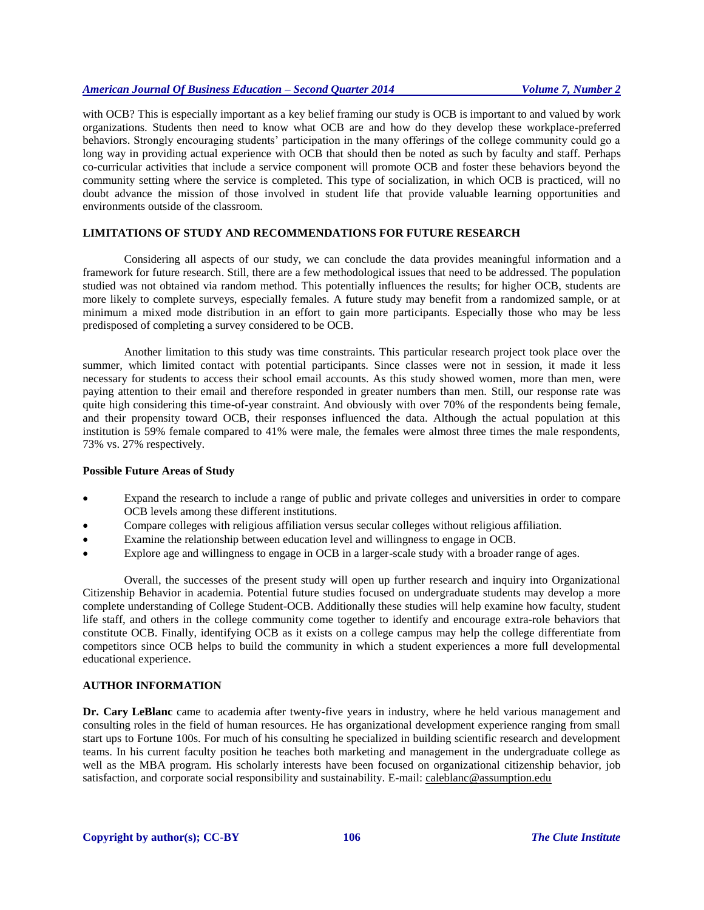with OCB? This is especially important as a key belief framing our study is OCB is important to and valued by work organizations. Students then need to know what OCB are and how do they develop these workplace-preferred behaviors. Strongly encouraging students' participation in the many offerings of the college community could go a long way in providing actual experience with OCB that should then be noted as such by faculty and staff. Perhaps co-curricular activities that include a service component will promote OCB and foster these behaviors beyond the community setting where the service is completed. This type of socialization, in which OCB is practiced, will no doubt advance the mission of those involved in student life that provide valuable learning opportunities and environments outside of the classroom.

# **LIMITATIONS OF STUDY AND RECOMMENDATIONS FOR FUTURE RESEARCH**

Considering all aspects of our study, we can conclude the data provides meaningful information and a framework for future research. Still, there are a few methodological issues that need to be addressed. The population studied was not obtained via random method. This potentially influences the results; for higher OCB, students are more likely to complete surveys, especially females. A future study may benefit from a randomized sample, or at minimum a mixed mode distribution in an effort to gain more participants. Especially those who may be less predisposed of completing a survey considered to be OCB.

Another limitation to this study was time constraints. This particular research project took place over the summer, which limited contact with potential participants. Since classes were not in session, it made it less necessary for students to access their school email accounts. As this study showed women, more than men, were paying attention to their email and therefore responded in greater numbers than men. Still, our response rate was quite high considering this time-of-year constraint. And obviously with over 70% of the respondents being female, and their propensity toward OCB, their responses influenced the data. Although the actual population at this institution is 59% female compared to 41% were male, the females were almost three times the male respondents, 73% vs. 27% respectively.

# **Possible Future Areas of Study**

- Expand the research to include a range of public and private colleges and universities in order to compare OCB levels among these different institutions.
- Compare colleges with religious affiliation versus secular colleges without religious affiliation.
- Examine the relationship between education level and willingness to engage in OCB.
- Explore age and willingness to engage in OCB in a larger-scale study with a broader range of ages.

Overall, the successes of the present study will open up further research and inquiry into Organizational Citizenship Behavior in academia. Potential future studies focused on undergraduate students may develop a more complete understanding of College Student-OCB. Additionally these studies will help examine how faculty, student life staff, and others in the college community come together to identify and encourage extra-role behaviors that constitute OCB. Finally, identifying OCB as it exists on a college campus may help the college differentiate from competitors since OCB helps to build the community in which a student experiences a more full developmental educational experience.

# **AUTHOR INFORMATION**

**Dr. Cary LeBlanc** came to academia after twenty-five years in industry, where he held various management and consulting roles in the field of human resources. He has organizational development experience ranging from small start ups to Fortune 100s. For much of his consulting he specialized in building scientific research and development teams. In his current faculty position he teaches both marketing and management in the undergraduate college as well as the MBA program. His scholarly interests have been focused on organizational citizenship behavior, job satisfaction, and corporate social responsibility and sustainability. E-mail: caleblanc@assumption.edu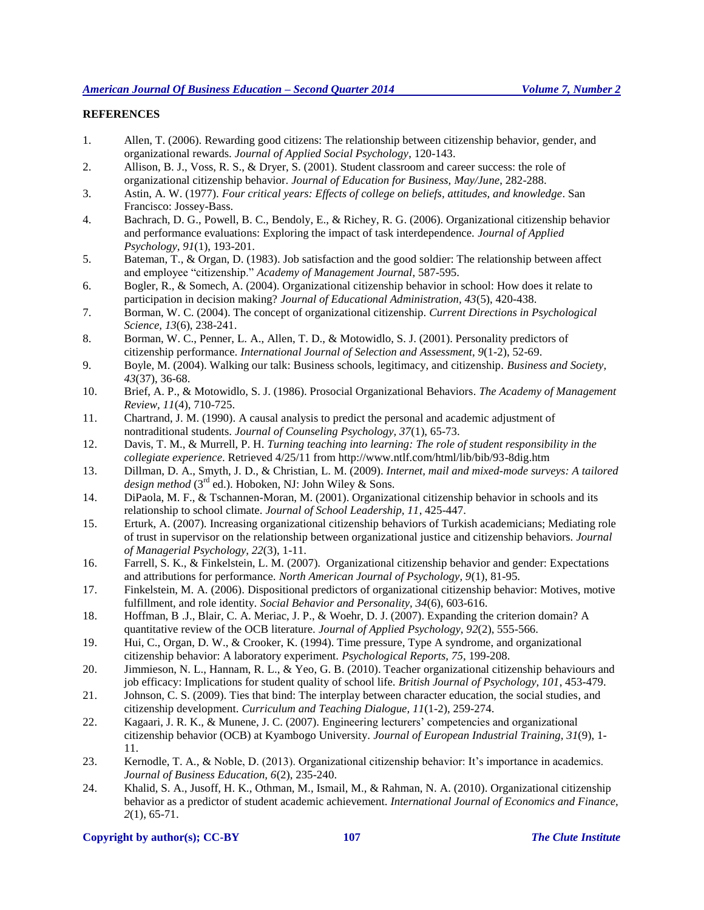# **REFERENCES**

- 1. Allen, T. (2006). Rewarding good citizens: The relationship between citizenship behavior, gender, and organizational rewards. *Journal of Applied Social Psychology*, 120-143.
- 2. Allison, B. J., Voss, R. S., & Dryer, S. (2001). Student classroom and career success: the role of organizational citizenship behavior. *Journal of Education for Business, May/June*, 282-288.
- 3. Astin, A. W. (1977). *Four critical years: Effects of college on beliefs, attitudes, and knowledge*. San Francisco: Jossey-Bass.
- 4. Bachrach, D. G., Powell, B. C., Bendoly, E., & Richey, R. G. (2006). Organizational citizenship behavior and performance evaluations: Exploring the impact of task interdependence. *Journal of Applied Psychology, 91*(1), 193-201.
- 5. Bateman, T., & Organ, D. (1983). Job satisfaction and the good soldier: The relationship between affect and employee "citizenship." *Academy of Management Journal*, 587-595.
- 6. Bogler, R., & Somech, A. (2004). Organizational citizenship behavior in school: How does it relate to participation in decision making? *Journal of Educational Administration, 43*(5), 420-438.
- 7. Borman, W. C. (2004). The concept of organizational citizenship. *Current Directions in Psychological Science, 13*(6), 238-241.
- 8. Borman, W. C., Penner, L. A., Allen, T. D., & Motowidlo, S. J. (2001). Personality predictors of citizenship performance. *International Journal of Selection and Assessment, 9*(1-2), 52-69.
- 9. Boyle, M. (2004). Walking our talk: Business schools, legitimacy, and citizenship. *Business and Society, 43*(37), 36-68.
- 10. Brief, A. P., & Motowidlo, S. J. (1986). Prosocial Organizational Behaviors. *The Academy of Management Review, 11*(4), 710-725.
- 11. Chartrand, J. M. (1990). A causal analysis to predict the personal and academic adjustment of nontraditional students. *Journal of Counseling Psychology, 37*(1), 65-73.
- 12. Davis, T. M., & Murrell, P. H. *Turning teaching into learning: The role of student responsibility in the collegiate experience*. Retrieved 4/25/11 from http://www.ntlf.com/html/lib/bib/93-8dig.htm
- 13. Dillman, D. A., Smyth, J. D., & Christian, L. M. (2009). *Internet, mail and mixed-mode surveys: A tailored*  design method (3<sup>rd</sup> ed.). Hoboken, NJ: John Wiley & Sons.
- 14. DiPaola, M. F., & Tschannen-Moran, M. (2001). Organizational citizenship behavior in schools and its relationship to school climate. *Journal of School Leadership, 11*, 425-447.
- 15. Erturk, A. (2007). Increasing organizational citizenship behaviors of Turkish academicians; Mediating role of trust in supervisor on the relationship between organizational justice and citizenship behaviors. *Journal of Managerial Psychology, 22*(3), 1-11.
- 16. Farrell, S. K., & Finkelstein, L. M. (2007). Organizational citizenship behavior and gender: Expectations and attributions for performance. *North American Journal of Psychology, 9*(1), 81-95.
- 17. Finkelstein, M. A. (2006). Dispositional predictors of organizational citizenship behavior: Motives, motive fulfillment, and role identity. *Social Behavior and Personality, 34*(6), 603-616.
- 18. Hoffman, B .J., Blair, C. A. Meriac, J. P., & Woehr, D. J. (2007). Expanding the criterion domain? A quantitative review of the OCB literature. *Journal of Applied Psychology, 92*(2), 555-566.
- 19. Hui, C., Organ, D. W., & Crooker, K. (1994). Time pressure, Type A syndrome, and organizational citizenship behavior: A laboratory experiment. *Psychological Reports, 75*, 199-208.
- 20. Jimmieson, N. L., Hannam, R. L., & Yeo, G. B. (2010). Teacher organizational citizenship behaviours and job efficacy: Implications for student quality of school life. *British Journal of Psychology, 101*, 453-479.
- 21. Johnson, C. S. (2009). Ties that bind: The interplay between character education, the social studies, and citizenship development. *Curriculum and Teaching Dialogue, 11*(1-2), 259-274.
- 22. Kagaari, J. R. K., & Munene, J. C. (2007). Engineering lecturers' competencies and organizational citizenship behavior (OCB) at Kyambogo University. *Journal of European Industrial Training, 31*(9), 1- 11.
- 23. Kernodle, T. A., & Noble, D. (2013). Organizational citizenship behavior: It's importance in academics. *Journal of Business Education, 6*(2), 235-240.
- 24. Khalid, S. A., Jusoff, H. K., Othman, M., Ismail, M., & Rahman, N. A. (2010). Organizational citizenship behavior as a predictor of student academic achievement. *International Journal of Economics and Finance, 2*(1), 65-71.